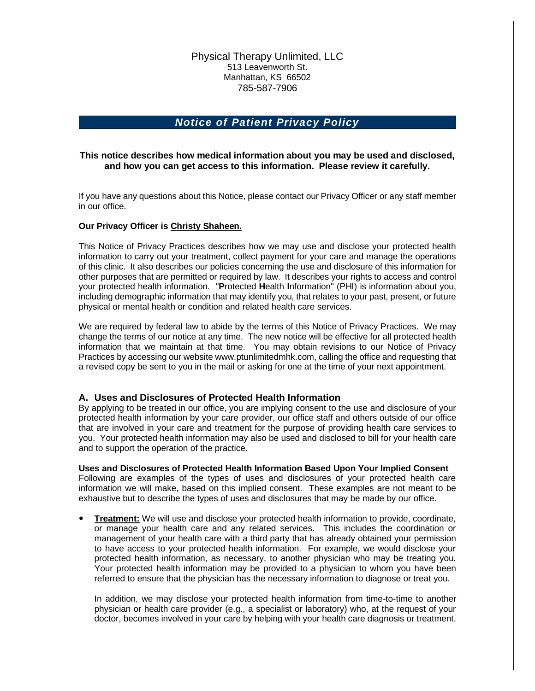### Physical Therapy Unlimited, LLC 513 Leavenworth St. Manhattan, KS 66502 785-587-7906

# *Notice of Patient Privacy Policy*

# **This notice describes how medical information about you may be used and disclosed, and how you can get access to this information. Please review it carefully.**

If you have any questions about this Notice, please contact our Privacy Officer or any staff member in our office.

#### **Our Privacy Officer is Christy Shaheen.**

This Notice of Privacy Practices describes how we may use and disclose your protected health information to carry out your treatment, collect payment for your care and manage the operations of this clinic. It also describes our policies concerning the use and disclosure of this information for other purposes that are permitted or required by law. It describes your rights to access and control your protected health information. "**P**rotected **H**ealth **I**nformation" (PHI) is information about you, including demographic information that may identify you, that relates to your past, present, or future physical or mental health or condition and related health care services.

We are required by federal law to abide by the terms of this Notice of Privacy Practices. We may change the terms of our notice at any time. The new notice will be effective for all protected health information that we maintain at that time. You may obtain revisions to our Notice of Privacy Practices by accessing our website www.ptunlimitedmhk.com, calling the office and requesting that a revised copy be sent to you in the mail or asking for one at the time of your next appointment.

#### **A. Uses and Disclosures of Protected Health Information**

By applying to be treated in our office, you are implying consent to the use and disclosure of your protected health information by your care provider, our office staff and others outside of our office that are involved in your care and treatment for the purpose of providing health care services to you. Your protected health information may also be used and disclosed to bill for your health care and to support the operation of the practice.

#### **Uses and Disclosures of Protected Health Information Based Upon Your Implied Consent**

Following are examples of the types of uses and disclosures of your protected health care information we will make, based on this implied consent. These examples are not meant to be exhaustive but to describe the types of uses and disclosures that may be made by our office.

 **Treatment:** We will use and disclose your protected health information to provide, coordinate, or manage your health care and any related services. This includes the coordination or management of your health care with a third party that has already obtained your permission to have access to your protected health information. For example, we would disclose your protected health information, as necessary, to another physician who may be treating you. Your protected health information may be provided to a physician to whom you have been referred to ensure that the physician has the necessary information to diagnose or treat you.

In addition, we may disclose your protected health information from time-to-time to another physician or health care provider (e.g., a specialist or laboratory) who, at the request of your doctor, becomes involved in your care by helping with your health care diagnosis or treatment.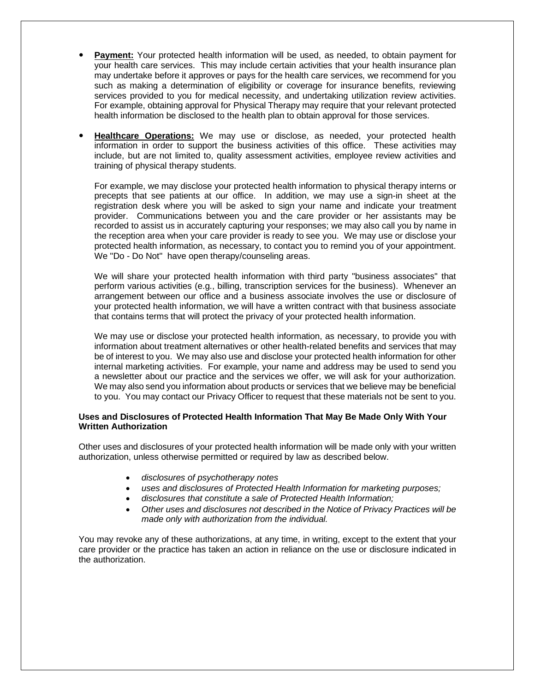- **Payment:** Your protected health information will be used, as needed, to obtain payment for your health care services. This may include certain activities that your health insurance plan may undertake before it approves or pays for the health care services, we recommend for you such as making a determination of eligibility or coverage for insurance benefits, reviewing services provided to you for medical necessity, and undertaking utilization review activities. For example, obtaining approval for Physical Therapy may require that your relevant protected health information be disclosed to the health plan to obtain approval for those services.
- **Healthcare Operations:** We may use or disclose, as needed, your protected health information in order to support the business activities of this office. These activities may include, but are not limited to, quality assessment activities, employee review activities and training of physical therapy students.

For example, we may disclose your protected health information to physical therapy interns or precepts that see patients at our office. In addition, we may use a sign-in sheet at the registration desk where you will be asked to sign your name and indicate your treatment provider. Communications between you and the care provider or her assistants may be recorded to assist us in accurately capturing your responses; we may also call you by name in the reception area when your care provider is ready to see you. We may use or disclose your protected health information, as necessary, to contact you to remind you of your appointment. We "Do - Do Not" have open therapy/counseling areas.

We will share your protected health information with third party "business associates" that perform various activities (e.g., billing, transcription services for the business). Whenever an arrangement between our office and a business associate involves the use or disclosure of your protected health information, we will have a written contract with that business associate that contains terms that will protect the privacy of your protected health information.

We may use or disclose your protected health information, as necessary, to provide you with information about treatment alternatives or other health-related benefits and services that may be of interest to you. We may also use and disclose your protected health information for other internal marketing activities. For example, your name and address may be used to send you a newsletter about our practice and the services we offer, we will ask for your authorization. We may also send you information about products or services that we believe may be beneficial to you. You may contact our Privacy Officer to request that these materials not be sent to you.

#### **Uses and Disclosures of Protected Health Information That May Be Made Only With Your Written Authorization**

Other uses and disclosures of your protected health information will be made only with your written authorization, unless otherwise permitted or required by law as described below.

- *disclosures of psychotherapy notes*
- *uses and disclosures of Protected Health Information for marketing purposes;*
- *disclosures that constitute a sale of Protected Health Information;*
- *Other uses and disclosures not described in the Notice of Privacy Practices will be made only with authorization from the individual.*

You may revoke any of these authorizations, at any time, in writing, except to the extent that your care provider or the practice has taken an action in reliance on the use or disclosure indicated in the authorization.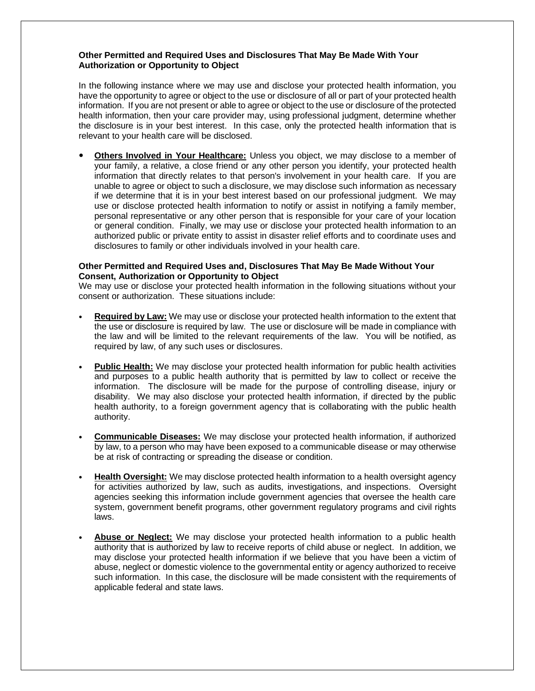#### **Other Permitted and Required Uses and Disclosures That May Be Made With Your Authorization or Opportunity to Object**

In the following instance where we may use and disclose your protected health information, you have the opportunity to agree or object to the use or disclosure of all or part of your protected health information. If you are not present or able to agree or object to the use or disclosure of the protected health information, then your care provider may, using professional judgment, determine whether the disclosure is in your best interest. In this case, only the protected health information that is relevant to your health care will be disclosed.

 **Others Involved in Your Healthcare:** Unless you object, we may disclose to a member of your family, a relative, a close friend or any other person you identify, your protected health information that directly relates to that person's involvement in your health care. If you are unable to agree or object to such a disclosure, we may disclose such information as necessary if we determine that it is in your best interest based on our professional judgment. We may use or disclose protected health information to notify or assist in notifying a family member, personal representative or any other person that is responsible for your care of your location or general condition. Finally, we may use or disclose your protected health information to an authorized public or private entity to assist in disaster relief efforts and to coordinate uses and disclosures to family or other individuals involved in your health care.

#### **Other Permitted and Required Uses and, Disclosures That May Be Made Without Your Consent, Authorization or Opportunity to Object**

We may use or disclose your protected health information in the following situations without your consent or authorization. These situations include:

- **Required by Law:** We may use or disclose your protected health information to the extent that the use or disclosure is required by law. The use or disclosure will be made in compliance with the law and will be limited to the relevant requirements of the law. You will be notified, as required by law, of any such uses or disclosures.
- **Public Health:** We may disclose your protected health information for public health activities and purposes to a public health authority that is permitted by law to collect or receive the information. The disclosure will be made for the purpose of controlling disease, injury or disability. We may also disclose your protected health information, if directed by the public health authority, to a foreign government agency that is collaborating with the public health authority.
- **Communicable Diseases:** We may disclose your protected health information, if authorized by law, to a person who may have been exposed to a communicable disease or may otherwise be at risk of contracting or spreading the disease or condition.
- **Health Oversight:** We may disclose protected health information to a health oversight agency for activities authorized by law, such as audits, investigations, and inspections. Oversight agencies seeking this information include government agencies that oversee the health care system, government benefit programs, other government regulatory programs and civil rights laws.
- **Abuse or Neglect:** We may disclose your protected health information to a public health authority that is authorized by law to receive reports of child abuse or neglect. In addition, we may disclose your protected health information if we believe that you have been a victim of abuse, neglect or domestic violence to the governmental entity or agency authorized to receive such information. In this case, the disclosure will be made consistent with the requirements of applicable federal and state laws.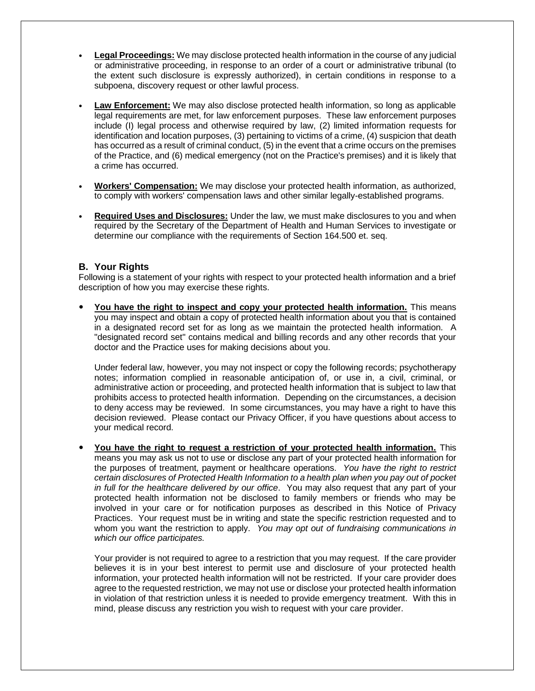- **Legal Proceedings:** We may disclose protected health information in the course of any judicial or administrative proceeding, in response to an order of a court or administrative tribunal (to the extent such disclosure is expressly authorized), in certain conditions in response to a subpoena, discovery request or other lawful process.
- **Law Enforcement:** We may also disclose protected health information, so long as applicable legal requirements are met, for law enforcement purposes. These law enforcement purposes include (I) legal process and otherwise required by law, (2) limited information requests for identification and location purposes, (3) pertaining to victims of a crime, (4) suspicion that death has occurred as a result of criminal conduct, (5) in the event that a crime occurs on the premises of the Practice, and (6) medical emergency (not on the Practice's premises) and it is likely that a crime has occurred.
- **Workers' Compensation:** We may disclose your protected health information, as authorized, to comply with workers' compensation laws and other similar legally-established programs.
- **Required Uses and Disclosures:** Under the law, we must make disclosures to you and when required by the Secretary of the Department of Health and Human Services to investigate or determine our compliance with the requirements of Section 164.500 et. seq.

# **B. Your Rights**

Following is a statement of your rights with respect to your protected health information and a brief description of how you may exercise these rights.

 **You have the right to inspect and copy your protected health information.** This means you may inspect and obtain a copy of protected health information about you that is contained in a designated record set for as long as we maintain the protected health information. A "designated record set" contains medical and billing records and any other records that your doctor and the Practice uses for making decisions about you.

Under federal law, however, you may not inspect or copy the following records; psychotherapy notes; information complied in reasonable anticipation of, or use in, a civil, criminal, or administrative action or proceeding, and protected health information that is subject to law that prohibits access to protected health information. Depending on the circumstances, a decision to deny access may be reviewed. In some circumstances, you may have a right to have this decision reviewed. Please contact our Privacy Officer, if you have questions about access to your medical record.

 **You have the right to request a restriction of your protected health information.** This means you may ask us not to use or disclose any part of your protected health information for the purposes of treatment, payment or healthcare operations. *You have the right to restrict certain disclosures of Protected Health Information to a health plan when you pay out of pocket in full for the healthcare delivered by our office*. You may also request that any part of your protected health information not be disclosed to family members or friends who may be involved in your care or for notification purposes as described in this Notice of Privacy Practices. Your request must be in writing and state the specific restriction requested and to whom you want the restriction to apply. *You may opt out of fundraising communications in which our office participates.*

Your provider is not required to agree to a restriction that you may request. If the care provider believes it is in your best interest to permit use and disclosure of your protected health information, your protected health information will not be restricted. If your care provider does agree to the requested restriction, we may not use or disclose your protected health information in violation of that restriction unless it is needed to provide emergency treatment. With this in mind, please discuss any restriction you wish to request with your care provider.